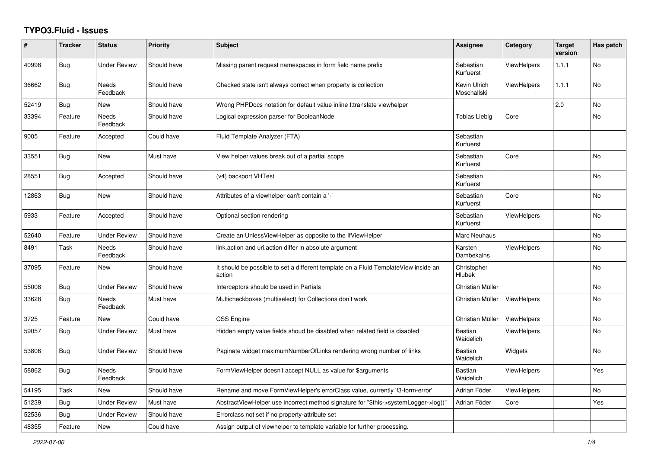## **TYPO3.Fluid - Issues**

| #     | <b>Tracker</b> | <b>Status</b>            | Priority    | <b>Subject</b>                                                                                | Assignee                    | Category           | <b>Target</b><br>version | Has patch |
|-------|----------------|--------------------------|-------------|-----------------------------------------------------------------------------------------------|-----------------------------|--------------------|--------------------------|-----------|
| 40998 | <b>Bug</b>     | <b>Under Review</b>      | Should have | Missing parent request namespaces in form field name prefix                                   | Sebastian<br>Kurfuerst      | ViewHelpers        | 1.1.1                    | <b>No</b> |
| 36662 | Bug            | <b>Needs</b><br>Feedback | Should have | Checked state isn't always correct when property is collection                                | Kevin Ulrich<br>Moschallski | <b>ViewHelpers</b> | 1.1.1                    | No        |
| 52419 | Bug            | <b>New</b>               | Should have | Wrong PHPDocs notation for default value inline f:translate viewhelper                        |                             |                    | 2.0                      | <b>No</b> |
| 33394 | Feature        | <b>Needs</b><br>Feedback | Should have | Logical expression parser for BooleanNode                                                     | <b>Tobias Liebig</b>        | Core               |                          | <b>No</b> |
| 9005  | Feature        | Accepted                 | Could have  | Fluid Template Analyzer (FTA)                                                                 | Sebastian<br>Kurfuerst      |                    |                          |           |
| 33551 | <b>Bug</b>     | New                      | Must have   | View helper values break out of a partial scope                                               | Sebastian<br>Kurfuerst      | Core               |                          | No        |
| 28551 | <b>Bug</b>     | Accepted                 | Should have | (v4) backport VHTest                                                                          | Sebastian<br>Kurfuerst      |                    |                          | <b>No</b> |
| 12863 | <b>Bug</b>     | <b>New</b>               | Should have | Attributes of a viewhelper can't contain a '-'                                                | Sebastian<br>Kurfuerst      | Core               |                          | <b>No</b> |
| 5933  | Feature        | Accepted                 | Should have | Optional section rendering                                                                    | Sebastian<br>Kurfuerst      | <b>ViewHelpers</b> |                          | <b>No</b> |
| 52640 | Feature        | <b>Under Review</b>      | Should have | Create an UnlessViewHelper as opposite to the IfViewHelper                                    | Marc Neuhaus                |                    |                          | <b>No</b> |
| 8491  | Task           | Needs<br>Feedback        | Should have | link.action and uri.action differ in absolute argument                                        | Karsten<br>Dambekalns       | <b>ViewHelpers</b> |                          | No        |
| 37095 | Feature        | New                      | Should have | It should be possible to set a different template on a Fluid TemplateView inside an<br>action | Christopher<br>Hlubek       |                    |                          | No        |
| 55008 | <b>Bug</b>     | <b>Under Review</b>      | Should have | Interceptors should be used in Partials                                                       | Christian Müller            |                    |                          | <b>No</b> |
| 33628 | Bug            | <b>Needs</b><br>Feedback | Must have   | Multicheckboxes (multiselect) for Collections don't work                                      | Christian Müller            | <b>ViewHelpers</b> |                          | <b>No</b> |
| 3725  | Feature        | New                      | Could have  | CSS Engine                                                                                    | Christian Müller            | <b>ViewHelpers</b> |                          | <b>No</b> |
| 59057 | <b>Bug</b>     | Under Review             | Must have   | Hidden empty value fields shoud be disabled when related field is disabled                    | <b>Bastian</b><br>Waidelich | <b>ViewHelpers</b> |                          | No        |
| 53806 | <b>Bug</b>     | <b>Under Review</b>      | Should have | Paginate widget maximumNumberOfLinks rendering wrong number of links                          | <b>Bastian</b><br>Waidelich | Widgets            |                          | No        |
| 58862 | <b>Bug</b>     | Needs<br>Feedback        | Should have | FormViewHelper doesn't accept NULL as value for \$arguments                                   | <b>Bastian</b><br>Waidelich | <b>ViewHelpers</b> |                          | Yes       |
| 54195 | Task           | New                      | Should have | Rename and move FormViewHelper's errorClass value, currently 'f3-form-error'                  | Adrian Föder                | <b>ViewHelpers</b> |                          | <b>No</b> |
| 51239 | Bug            | <b>Under Review</b>      | Must have   | AbstractViewHelper use incorrect method signature for "\$this->systemLogger->log()"           | Adrian Föder                | Core               |                          | Yes       |
| 52536 | Bug            | <b>Under Review</b>      | Should have | Errorclass not set if no property-attribute set                                               |                             |                    |                          |           |
| 48355 | Feature        | New                      | Could have  | Assign output of viewhelper to template variable for further processing.                      |                             |                    |                          |           |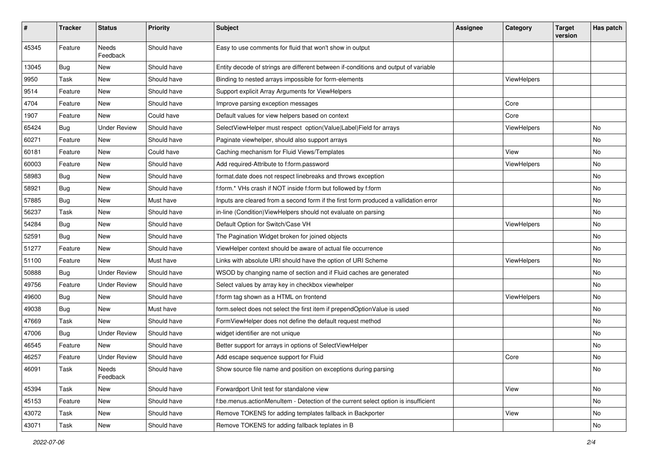| #     | <b>Tracker</b> | <b>Status</b>            | <b>Priority</b> | <b>Subject</b>                                                                       | Assignee | Category    | <b>Target</b><br>version | Has patch |
|-------|----------------|--------------------------|-----------------|--------------------------------------------------------------------------------------|----------|-------------|--------------------------|-----------|
| 45345 | Feature        | <b>Needs</b><br>Feedback | Should have     | Easy to use comments for fluid that won't show in output                             |          |             |                          |           |
| 13045 | Bug            | New                      | Should have     | Entity decode of strings are different between if-conditions and output of variable  |          |             |                          |           |
| 9950  | Task           | New                      | Should have     | Binding to nested arrays impossible for form-elements                                |          | ViewHelpers |                          |           |
| 9514  | Feature        | New                      | Should have     | Support explicit Array Arguments for ViewHelpers                                     |          |             |                          |           |
| 4704  | Feature        | <b>New</b>               | Should have     | Improve parsing exception messages                                                   |          | Core        |                          |           |
| 1907  | Feature        | New                      | Could have      | Default values for view helpers based on context                                     |          | Core        |                          |           |
| 65424 | Bug            | <b>Under Review</b>      | Should have     | SelectViewHelper must respect option(Value Label)Field for arrays                    |          | ViewHelpers |                          | No        |
| 60271 | Feature        | New                      | Should have     | Paginate viewhelper, should also support arrays                                      |          |             |                          | No        |
| 60181 | Feature        | <b>New</b>               | Could have      | Caching mechanism for Fluid Views/Templates                                          |          | View        |                          | No        |
| 60003 | Feature        | New                      | Should have     | Add required-Attribute to f:form.password                                            |          | ViewHelpers |                          | No        |
| 58983 | Bug            | New                      | Should have     | format.date does not respect linebreaks and throws exception                         |          |             |                          | No        |
| 58921 | Bug            | New                      | Should have     | f:form.* VHs crash if NOT inside f:form but followed by f:form                       |          |             |                          | No        |
| 57885 | Bug            | New                      | Must have       | Inputs are cleared from a second form if the first form produced a vallidation error |          |             |                          | No        |
| 56237 | Task           | New                      | Should have     | in-line (Condition) ViewHelpers should not evaluate on parsing                       |          |             |                          | No        |
| 54284 | Bug            | New                      | Should have     | Default Option for Switch/Case VH                                                    |          | ViewHelpers |                          | No        |
| 52591 | Bug            | New                      | Should have     | The Pagination Widget broken for joined objects                                      |          |             |                          | No        |
| 51277 | Feature        | New                      | Should have     | ViewHelper context should be aware of actual file occurrence                         |          |             |                          | No        |
| 51100 | Feature        | <b>New</b>               | Must have       | Links with absolute URI should have the option of URI Scheme                         |          | ViewHelpers |                          | No.       |
| 50888 | Bug            | <b>Under Review</b>      | Should have     | WSOD by changing name of section and if Fluid caches are generated                   |          |             |                          | No        |
| 49756 | Feature        | <b>Under Review</b>      | Should have     | Select values by array key in checkbox viewhelper                                    |          |             |                          | No        |
| 49600 | Bug            | New                      | Should have     | f:form tag shown as a HTML on frontend                                               |          | ViewHelpers |                          | No.       |
| 49038 | <b>Bug</b>     | New                      | Must have       | form.select does not select the first item if prependOptionValue is used             |          |             |                          | No        |
| 47669 | Task           | New                      | Should have     | FormViewHelper does not define the default request method                            |          |             |                          | No        |
| 47006 | Bug            | <b>Under Review</b>      | Should have     | widget identifier are not unique                                                     |          |             |                          | No        |
| 46545 | Feature        | <b>New</b>               | Should have     | Better support for arrays in options of SelectViewHelper                             |          |             |                          | No        |
| 46257 | Feature        | <b>Under Review</b>      | Should have     | Add escape sequence support for Fluid                                                |          | Core        |                          | No        |
| 46091 | Task           | Needs<br>Feedback        | Should have     | Show source file name and position on exceptions during parsing                      |          |             |                          | No        |
| 45394 | Task           | New                      | Should have     | Forwardport Unit test for standalone view                                            |          | View        |                          | No        |
| 45153 | Feature        | New                      | Should have     | f:be.menus.actionMenuItem - Detection of the current select option is insufficient   |          |             |                          | No        |
| 43072 | Task           | New                      | Should have     | Remove TOKENS for adding templates fallback in Backporter                            |          | View        |                          | No        |
| 43071 | Task           | New                      | Should have     | Remove TOKENS for adding fallback teplates in B                                      |          |             |                          | No        |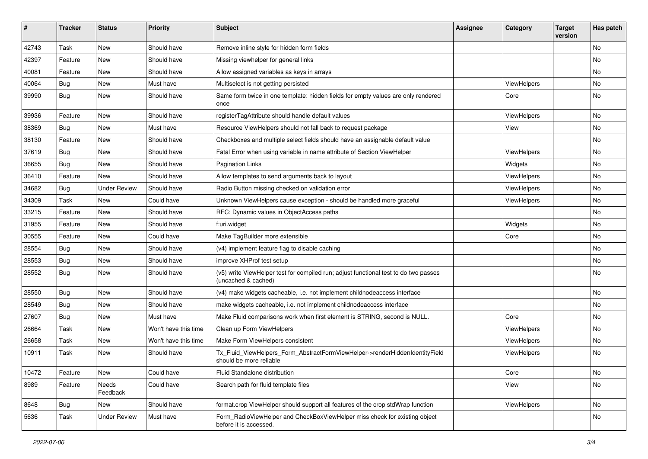| $\sharp$ | <b>Tracker</b> | <b>Status</b>       | <b>Priority</b>      | Subject                                                                                                     | <b>Assignee</b> | Category    | <b>Target</b><br>version | Has patch |
|----------|----------------|---------------------|----------------------|-------------------------------------------------------------------------------------------------------------|-----------------|-------------|--------------------------|-----------|
| 42743    | Task           | New                 | Should have          | Remove inline style for hidden form fields                                                                  |                 |             |                          | <b>No</b> |
| 42397    | Feature        | New                 | Should have          | Missing viewhelper for general links                                                                        |                 |             |                          | No        |
| 40081    | Feature        | New                 | Should have          | Allow assigned variables as keys in arrays                                                                  |                 |             |                          | No        |
| 40064    | Bug            | New                 | Must have            | Multiselect is not getting persisted                                                                        |                 | ViewHelpers |                          | No        |
| 39990    | Bug            | New                 | Should have          | Same form twice in one template: hidden fields for empty values are only rendered<br>once                   |                 | Core        |                          | <b>No</b> |
| 39936    | Feature        | New                 | Should have          | registerTagAttribute should handle default values                                                           |                 | ViewHelpers |                          | No        |
| 38369    | Bug            | New                 | Must have            | Resource ViewHelpers should not fall back to request package                                                |                 | View        |                          | No        |
| 38130    | Feature        | New                 | Should have          | Checkboxes and multiple select fields should have an assignable default value                               |                 |             |                          | <b>No</b> |
| 37619    | Bug            | New                 | Should have          | Fatal Error when using variable in name attribute of Section ViewHelper                                     |                 | ViewHelpers |                          | No        |
| 36655    | Bug            | New                 | Should have          | <b>Pagination Links</b>                                                                                     |                 | Widgets     |                          | <b>No</b> |
| 36410    | Feature        | New                 | Should have          | Allow templates to send arguments back to layout                                                            |                 | ViewHelpers |                          | No        |
| 34682    | Bug            | <b>Under Review</b> | Should have          | Radio Button missing checked on validation error                                                            |                 | ViewHelpers |                          | No        |
| 34309    | Task           | New                 | Could have           | Unknown ViewHelpers cause exception - should be handled more graceful                                       |                 | ViewHelpers |                          | No        |
| 33215    | Feature        | New                 | Should have          | RFC: Dynamic values in ObjectAccess paths                                                                   |                 |             |                          | No        |
| 31955    | Feature        | New                 | Should have          | f:uri.widget                                                                                                |                 | Widgets     |                          | No        |
| 30555    | Feature        | New                 | Could have           | Make TagBuilder more extensible                                                                             |                 | Core        |                          | No        |
| 28554    | Bug            | New                 | Should have          | (v4) implement feature flag to disable caching                                                              |                 |             |                          | No        |
| 28553    | Bug            | New                 | Should have          | improve XHProf test setup                                                                                   |                 |             |                          | No        |
| 28552    | Bug            | New                 | Should have          | (v5) write ViewHelper test for compiled run; adjust functional test to do two passes<br>(uncached & cached) |                 |             |                          | No        |
| 28550    | Bug            | New                 | Should have          | (v4) make widgets cacheable, i.e. not implement childnodeaccess interface                                   |                 |             |                          | <b>No</b> |
| 28549    | Bug            | New                 | Should have          | make widgets cacheable, i.e. not implement childnodeaccess interface                                        |                 |             |                          | No        |
| 27607    | Bug            | New                 | Must have            | Make Fluid comparisons work when first element is STRING, second is NULL.                                   |                 | Core        |                          | <b>No</b> |
| 26664    | Task           | New                 | Won't have this time | Clean up Form ViewHelpers                                                                                   |                 | ViewHelpers |                          | No        |
| 26658    | Task           | New                 | Won't have this time | Make Form ViewHelpers consistent                                                                            |                 | ViewHelpers |                          | No        |
| 10911    | Task           | New                 | Should have          | Tx_Fluid_ViewHelpers_Form_AbstractFormViewHelper->renderHiddenIdentityField<br>should be more reliable      |                 | ViewHelpers |                          | No        |
| 10472    | Feature        | New                 | Could have           | Fluid Standalone distribution                                                                               |                 | Core        |                          | No        |
| 8989     | Feature        | Needs<br>Feedback   | Could have           | Search path for fluid template files                                                                        |                 | View        |                          | No        |
| 8648     | <b>Bug</b>     | New                 | Should have          | format.crop ViewHelper should support all features of the crop stdWrap function                             |                 | ViewHelpers |                          | No        |
| 5636     | Task           | <b>Under Review</b> | Must have            | Form_RadioViewHelper and CheckBoxViewHelper miss check for existing object<br>before it is accessed.        |                 |             |                          | No        |